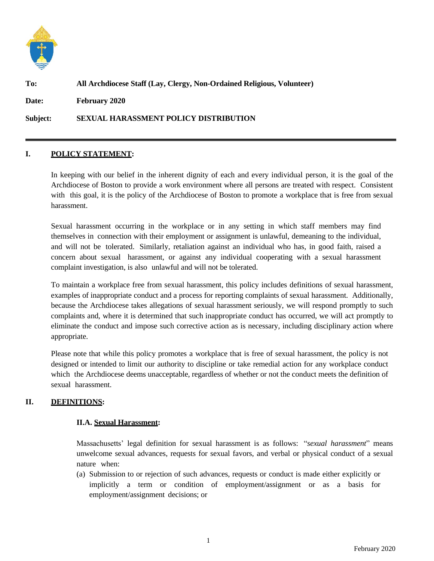

# **To: All Archdiocese Staff (Lay, Clergy, Non-Ordained Religious, Volunteer)**

**Date: February 2020**

**Subject: SEXUAL HARASSMENT POLICY DISTRIBUTION**

### **I. POLICY STATEMENT:**

In keeping with our belief in the inherent dignity of each and every individual person, it is the goal of the Archdiocese of Boston to provide a work environment where all persons are treated with respect. Consistent with this goal, it is the policy of the Archdiocese of Boston to promote a workplace that is free from sexual harassment.

Sexual harassment occurring in the workplace or in any setting in which staff members may find themselves in connection with their employment or assignment is unlawful, demeaning to the individual, and will not be tolerated. Similarly, retaliation against an individual who has, in good faith, raised a concern about sexual harassment, or against any individual cooperating with a sexual harassment complaint investigation, is also unlawful and will not be tolerated.

To maintain a workplace free from sexual harassment, this policy includes definitions of sexual harassment, examples of inappropriate conduct and a process for reporting complaints of sexual harassment. Additionally, because the Archdiocese takes allegations of sexual harassment seriously, we will respond promptly to such complaints and, where it is determined that such inappropriate conduct has occurred, we will act promptly to eliminate the conduct and impose such corrective action as is necessary, including disciplinary action where appropriate.

Please note that while this policy promotes a workplace that is free of sexual harassment, the policy is not designed or intended to limit our authority to discipline or take remedial action for any workplace conduct which the Archdiocese deems unacceptable, regardless of whether or not the conduct meets the definition of sexual harassment.

## **II. DEFINITIONS:**

## **II.A. Sexual Harassment:**

Massachusetts' legal definition for sexual harassment is as follows: "*sexual harassment*" means unwelcome sexual advances, requests for sexual favors, and verbal or physical conduct of a sexual nature when:

(a) Submission to or rejection of such advances, requests or conduct is made either explicitly or implicitly a term or condition of employment/assignment or as a basis for employment/assignment decisions; or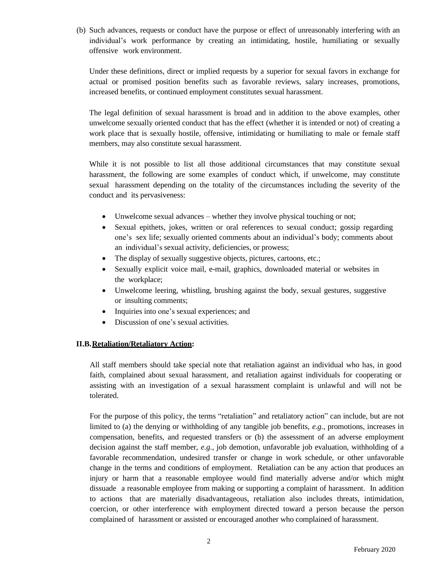(b) Such advances, requests or conduct have the purpose or effect of unreasonably interfering with an individual's work performance by creating an intimidating, hostile, humiliating or sexually offensive work environment.

Under these definitions, direct or implied requests by a superior for sexual favors in exchange for actual or promised position benefits such as favorable reviews, salary increases, promotions, increased benefits, or continued employment constitutes sexual harassment.

The legal definition of sexual harassment is broad and in addition to the above examples, other unwelcome sexually oriented conduct that has the effect (whether it is intended or not) of creating a work place that is sexually hostile, offensive, intimidating or humiliating to male or female staff members, may also constitute sexual harassment.

While it is not possible to list all those additional circumstances that may constitute sexual harassment, the following are some examples of conduct which, if unwelcome, may constitute sexual harassment depending on the totality of the circumstances including the severity of the conduct and its pervasiveness:

- Unwelcome sexual advances whether they involve physical touching or not;
- Sexual epithets, jokes, written or oral references to sexual conduct; gossip regarding one's sex life; sexually oriented comments about an individual's body; comments about an individual's sexual activity, deficiencies, or prowess;
- The display of sexually suggestive objects, pictures, cartoons, etc.;
- Sexually explicit voice mail, e-mail, graphics, downloaded material or websites in the workplace;
- Unwelcome leering, whistling, brushing against the body, sexual gestures, suggestive or insulting comments;
- Inquiries into one's sexual experiences; and
- Discussion of one's sexual activities.

#### **II.B.Retaliation/Retaliatory Action:**

All staff members should take special note that retaliation against an individual who has, in good faith, complained about sexual harassment, and retaliation against individuals for cooperating or assisting with an investigation of a sexual harassment complaint is unlawful and will not be tolerated.

For the purpose of this policy, the terms "retaliation" and retaliatory action" can include, but are not limited to (a) the denying or withholding of any tangible job benefits, *e.g.,* promotions, increases in compensation, benefits, and requested transfers or (b) the assessment of an adverse employment decision against the staff member, *e.g.,* job demotion, unfavorable job evaluation, withholding of a favorable recommendation, undesired transfer or change in work schedule, or other unfavorable change in the terms and conditions of employment. Retaliation can be any action that produces an injury or harm that a reasonable employee would find materially adverse and/or which might dissuade a reasonable employee from making or supporting a complaint of harassment. In addition to actions that are materially disadvantageous, retaliation also includes threats, intimidation, coercion, or other interference with employment directed toward a person because the person complained of harassment or assisted or encouraged another who complained of harassment.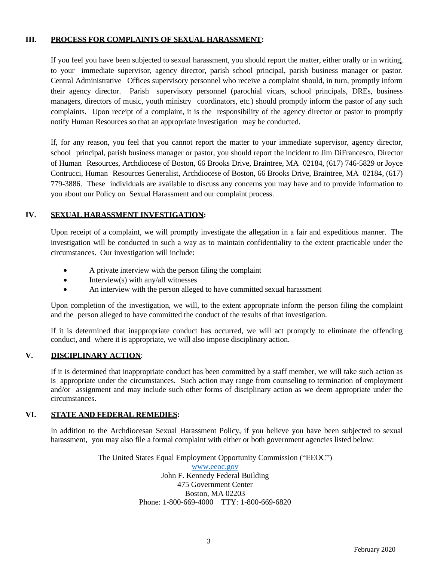## **III. PROCESS FOR COMPLAINTS OF SEXUAL HARASSMENT:**

If you feel you have been subjected to sexual harassment, you should report the matter, either orally or in writing, to your immediate supervisor, agency director, parish school principal, parish business manager or pastor. Central Administrative Offices supervisory personnel who receive a complaint should, in turn, promptly inform their agency director. Parish supervisory personnel (parochial vicars, school principals, DREs, business managers, directors of music, youth ministry coordinators, etc.) should promptly inform the pastor of any such complaints. Upon receipt of a complaint, it is the responsibility of the agency director or pastor to promptly notify Human Resources so that an appropriate investigation may be conducted.

If, for any reason, you feel that you cannot report the matter to your immediate supervisor, agency director, school principal, parish business manager or pastor, you should report the incident to Jim DiFrancesco, Director of Human Resources, Archdiocese of Boston, 66 Brooks Drive, Braintree, MA 02184, (617) 746-5829 or Joyce Contrucci, Human Resources Generalist, Archdiocese of Boston, 66 Brooks Drive, Braintree, MA 02184, (617) 779-3886. These individuals are available to discuss any concerns you may have and to provide information to you about our Policy on Sexual Harassment and our complaint process.

## **IV. SEXUAL HARASSMENT INVESTIGATION:**

Upon receipt of a complaint, we will promptly investigate the allegation in a fair and expeditious manner. The investigation will be conducted in such a way as to maintain confidentiality to the extent practicable under the circumstances. Our investigation will include:

- A private interview with the person filing the complaint
- Interview(s) with any/all witnesses
- An interview with the person alleged to have committed sexual harassment

Upon completion of the investigation, we will, to the extent appropriate inform the person filing the complaint and the person alleged to have committed the conduct of the results of that investigation.

If it is determined that inappropriate conduct has occurred, we will act promptly to eliminate the offending conduct, and where it is appropriate, we will also impose disciplinary action.

## **V. DISCIPLINARY ACTION**:

If it is determined that inappropriate conduct has been committed by a staff member, we will take such action as is appropriate under the circumstances. Such action may range from counseling to termination of employment and/or assignment and may include such other forms of disciplinary action as we deem appropriate under the circumstances.

## **VI. STATE AND FEDERAL REMEDIES:**

In addition to the Archdiocesan Sexual Harassment Policy, if you believe you have been subjected to sexual harassment, you may also file a formal complaint with either or both government agencies listed below:

> The United States Equal Employment Opportunity Commission ("EEOC") [www.eeoc.gov](http://www.eeoc.gov/) John F. Kennedy Federal Building 475 Government Center Boston, MA 02203 Phone: 1-800-669-4000 TTY: 1-800-669-6820